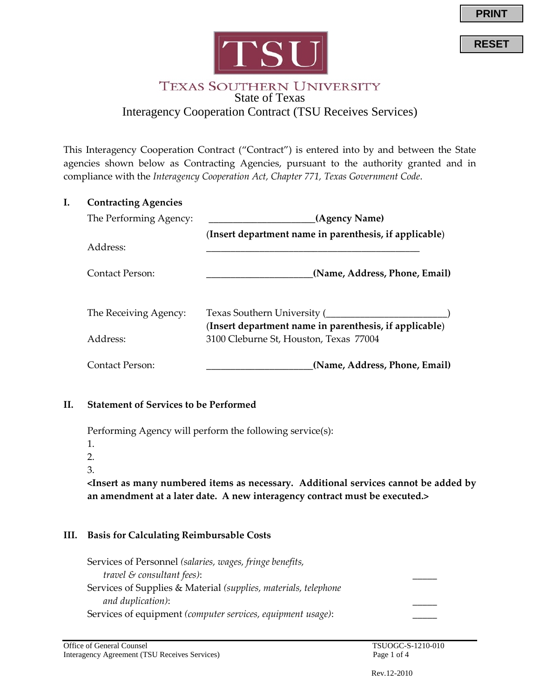

**RESET**



#### **TEXAS SOUTHERN UNIVERSITY** State of Texas Interagency Cooperation Contract (TSU Receives Services)

This Interagency Cooperation Contract ("Contract") is entered into by and between the State agencies shown below as Contracting Agencies, pursuant to the authority granted and in compliance with the *Interagency Cooperation Act, Chapter 771, Texas Government Code*.

| <b>Contracting Agencies</b> |                                                                                       |
|-----------------------------|---------------------------------------------------------------------------------------|
| The Performing Agency:      | (Agency Name)                                                                         |
|                             | (Insert department name in parenthesis, if applicable)                                |
| Address:                    |                                                                                       |
| Contact Person:             | (Name, Address, Phone, Email)                                                         |
| The Receiving Agency:       | Texas Southern University (<br>(Insert department name in parenthesis, if applicable) |
| Address:                    | 3100 Cleburne St, Houston, Texas 77004                                                |
| Contact Person:             | (Name, Address, Phone, Email)                                                         |

## **II. Statement of Services to be Performed**

Performing Agency will perform the following service(s):

1.

2.

3.

**<Insert as many numbered items as necessary. Additional services cannot be added by an amendment at a later date. A new interagency contract must be executed.>**

## **III. Basis for Calculating Reimbursable Costs**

Services of Personnel *(salaries, wages, fringe benefits, travel & consultant fees)*: \_\_\_\_\_ Services of Supplies & Material *(supplies, materials, telephone and duplication)*: \_\_\_\_\_ Services of equipment *(computer services, equipment usage)*: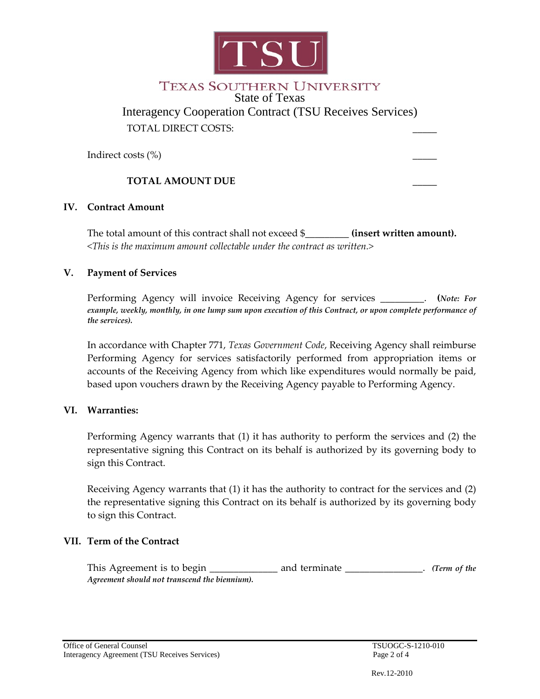

# **TEXAS SOUTHERN UNIVERSITY** State of Texas

Interagency Cooperation Contract (TSU Receives Services) TOTAL DIRECT COSTS:

Indirect costs  $(\%)$ 

## **TOTAL AMOUNT DUE \_\_\_\_\_**

#### **IV. Contract Amount**

The total amount of this contract shall not exceed \$ **(insert written amount).** *<This is the maximum amount collectable under the contract as written.>*

#### **V. Payment of Services**

Performing Agency will invoice Receiving Agency for services \_\_\_\_\_\_\_\_\_. **(***Note: For example, weekly, monthly, in one lump sum upon execution of this Contract, or upon complete performance of the services).*

In accordance with Chapter 771, *Texas Government Code*, Receiving Agency shall reimburse Performing Agency for services satisfactorily performed from appropriation items or accounts of the Receiving Agency from which like expenditures would normally be paid, based upon vouchers drawn by the Receiving Agency payable to Performing Agency.

## **VI. Warranties:**

Performing Agency warrants that (1) it has authority to perform the services and (2) the representative signing this Contract on its behalf is authorized by its governing body to sign this Contract.

Receiving Agency warrants that (1) it has the authority to contract for the services and (2) the representative signing this Contract on its behalf is authorized by its governing body to sign this Contract.

## **VII. Term of the Contract**

This Agreement is to begin \_\_\_\_\_\_\_\_\_\_\_\_\_\_ and terminate \_\_\_\_\_\_\_\_\_\_\_\_\_\_. *(Term of the Agreement should not transcend the biennium).*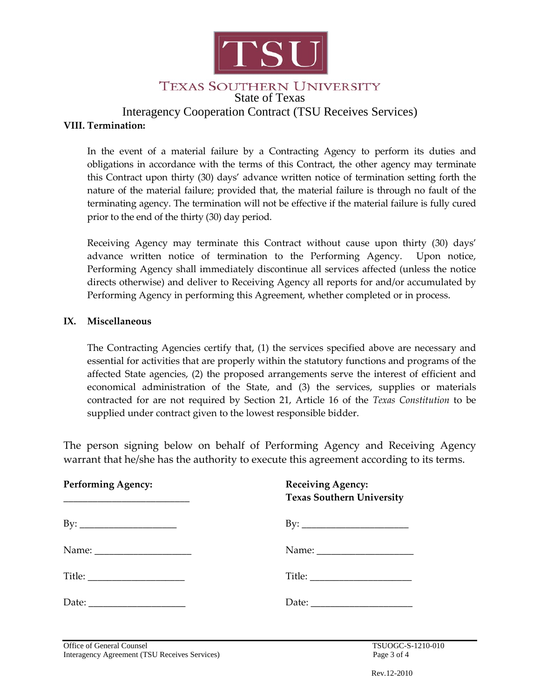

# TEXAS SOUTHERN UNIVERSITY

State of Texas

Interagency Cooperation Contract (TSU Receives Services)

#### **VIII. Termination:**

In the event of a material failure by a Contracting Agency to perform its duties and obligations in accordance with the terms of this Contract, the other agency may terminate this Contract upon thirty (30) days' advance written notice of termination setting forth the nature of the material failure; provided that, the material failure is through no fault of the terminating agency. The termination will not be effective if the material failure is fully cured prior to the end of the thirty (30) day period.

Receiving Agency may terminate this Contract without cause upon thirty (30) days' advance written notice of termination to the Performing Agency. Upon notice, Performing Agency shall immediately discontinue all services affected (unless the notice directs otherwise) and deliver to Receiving Agency all reports for and/or accumulated by Performing Agency in performing this Agreement, whether completed or in process.

#### **IX. Miscellaneous**

The Contracting Agencies certify that, (1) the services specified above are necessary and essential for activities that are properly within the statutory functions and programs of the affected State agencies, (2) the proposed arrangements serve the interest of efficient and economical administration of the State, and (3) the services, supplies or materials contracted for are not required by Section 21, Article 16 of the *Texas Constitution* to be supplied under contract given to the lowest responsible bidder.

The person signing below on behalf of Performing Agency and Receiving Agency warrant that he/she has the authority to execute this agreement according to its terms.

| <b>Performing Agency:</b><br><u> 1980 - Johann John Harry Harry Harry Harry Harry Harry Harry Harry Harry Harry Harry Harry Harry Harry Harry H</u> | <b>Receiving Agency:</b><br><b>Texas Southern University</b> |
|-----------------------------------------------------------------------------------------------------------------------------------------------------|--------------------------------------------------------------|
|                                                                                                                                                     |                                                              |
|                                                                                                                                                     |                                                              |
|                                                                                                                                                     |                                                              |
|                                                                                                                                                     |                                                              |